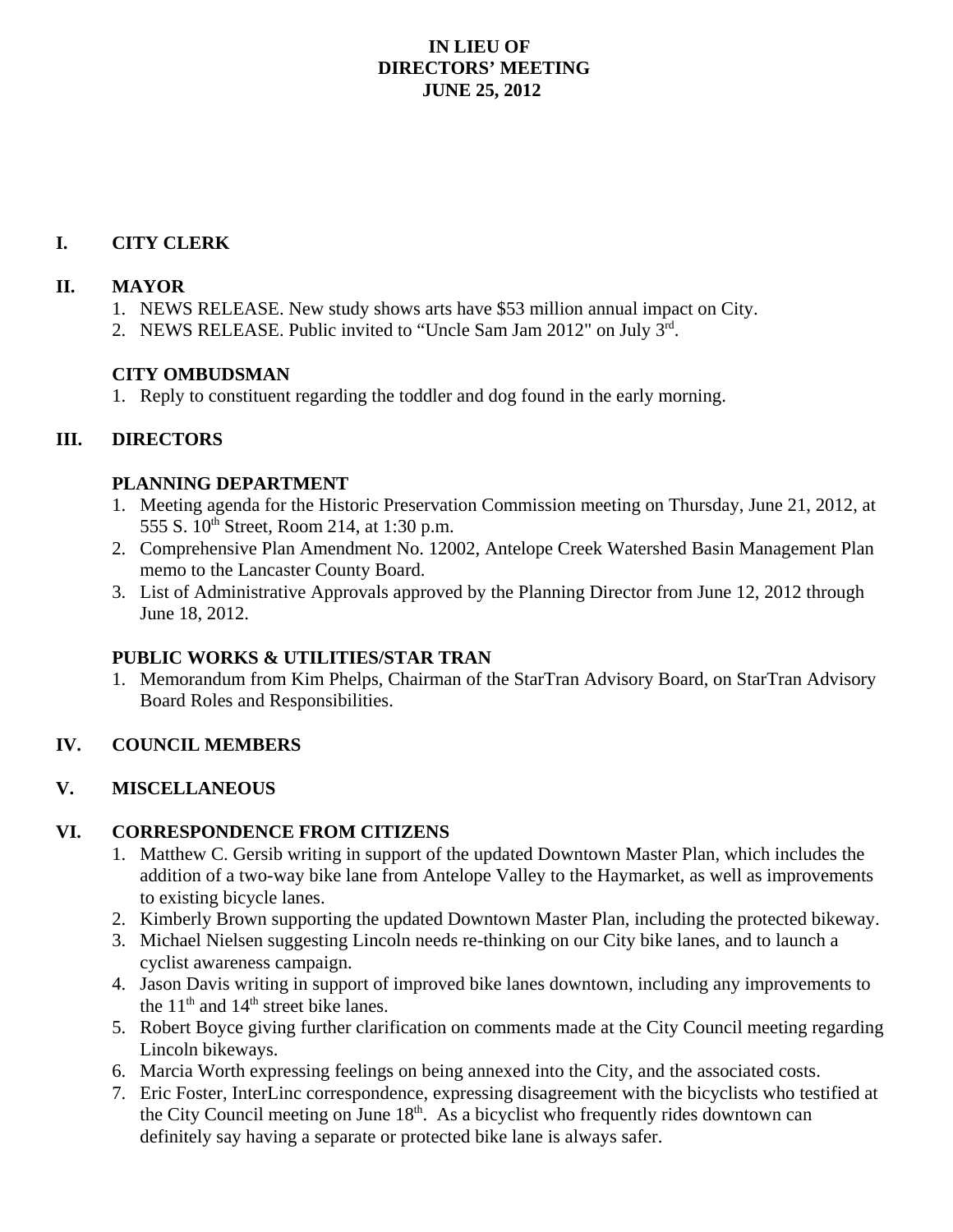## **IN LIEU OF DIRECTORS' MEETING JUNE 25, 2012**

## **I. CITY CLERK**

#### **II. MAYOR**

- 1. NEWS RELEASE. New study shows arts have \$53 million annual impact on City.
- 2. NEWS RELEASE. Public invited to "Uncle Sam Jam 2012" on July 3rd.

### **CITY OMBUDSMAN**

1. Reply to constituent regarding the toddler and dog found in the early morning.

# **III. DIRECTORS**

### **PLANNING DEPARTMENT**

- 1. Meeting agenda for the Historic Preservation Commission meeting on Thursday, June 21, 2012, at 555 S. 10<sup>th</sup> Street, Room 214, at 1:30 p.m.
- 2. Comprehensive Plan Amendment No. 12002, Antelope Creek Watershed Basin Management Plan memo to the Lancaster County Board.
- 3. List of Administrative Approvals approved by the Planning Director from June 12, 2012 through June 18, 2012.

### **PUBLIC WORKS & UTILITIES/STAR TRAN**

1. Memorandum from Kim Phelps, Chairman of the StarTran Advisory Board, on StarTran Advisory Board Roles and Responsibilities.

# **IV. COUNCIL MEMBERS**

### **V. MISCELLANEOUS**

### **VI. CORRESPONDENCE FROM CITIZENS**

- 1. Matthew C. Gersib writing in support of the updated Downtown Master Plan, which includes the addition of a two-way bike lane from Antelope Valley to the Haymarket, as well as improvements to existing bicycle lanes.
- 2. Kimberly Brown supporting the updated Downtown Master Plan, including the protected bikeway.
- 3. Michael Nielsen suggesting Lincoln needs re-thinking on our City bike lanes, and to launch a cyclist awareness campaign.
- 4. Jason Davis writing in support of improved bike lanes downtown, including any improvements to the  $11<sup>th</sup>$  and  $14<sup>th</sup>$  street bike lanes.
- 5. Robert Boyce giving further clarification on comments made at the City Council meeting regarding Lincoln bikeways.
- 6. Marcia Worth expressing feelings on being annexed into the City, and the associated costs.
- 7. Eric Foster, InterLinc correspondence, expressing disagreement with the bicyclists who testified at the City Council meeting on June  $18<sup>th</sup>$ . As a bicyclist who frequently rides downtown can definitely say having a separate or protected bike lane is always safer.